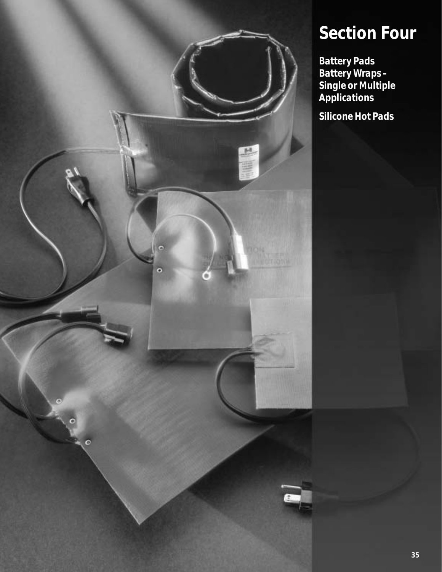

### **Section Four**

*Battery Pads Battery Wraps – Single or Multiple Applications Silicone Hot Pads*

**35**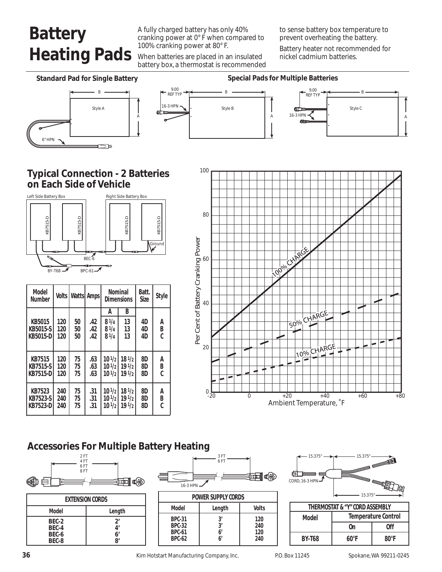# **Battery Heating Pads**

A fully charged battery has only 40% cranking power at 0° F when compared to 100% cranking power at 80° F.

When batteries are placed in an insulated battery box, a thermostat is recommended to sense battery box temperature to prevent overheating the battery.

Battery heater not recommended for nickel cadmium batteries.

A



### **Accessories For Multiple Battery Heating**











| THERMOSTAT & "Y" CORD ASSEMBLY |                            |                |  |
|--------------------------------|----------------------------|----------------|--|
| Model                          | <b>Temperature Control</b> |                |  |
|                                | 0n                         | 0ff            |  |
| <b>BY-T68</b>                  | $60^{\circ}$ F             | $80^{\circ}$ F |  |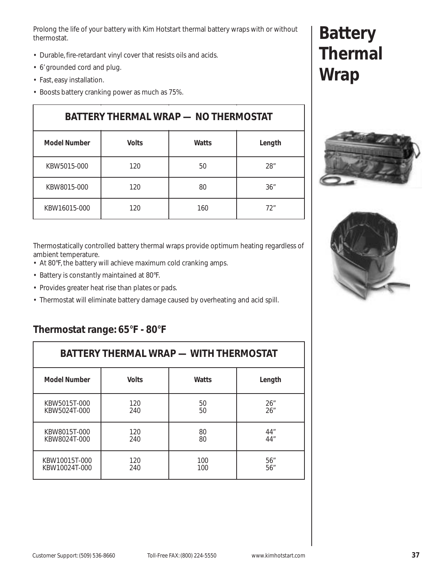Prolong the life of your battery with Kim Hotstart thermal battery wraps with or without thermostat.

- Durable, fire-retardant vinyl cover that resists oils and acids.
- 6' grounded cord and plug.
- Fast, easy installation.
- Boosts battery cranking power as much as 75%.

| <b>BATTERY THERMAL WRAP - NO THERMOSTAT</b> |              |       |        |
|---------------------------------------------|--------------|-------|--------|
| <b>Model Number</b>                         | <b>Volts</b> | Watts | Length |
| KBW5015-000                                 | 120          | 50    | 28"    |
| KBW8015-000                                 | 120          | 80    | 36"    |
| KBW16015-000                                | 120          | 160   | 72"    |

Thermostatically controlled battery thermal wraps provide optimum heating regardless of ambient temperature.

- At 80°F, the battery will achieve maximum cold cranking amps.
- Battery is constantly maintained at 80°F.
- Provides greater heat rise than plates or pads.
- Thermostat will eliminate battery damage caused by overheating and acid spill.

#### **Thermostat range: 65°F - 80°F**

| BATTERY THERMAL WRAP — WITH THERMOSTAT |              |              |        |
|----------------------------------------|--------------|--------------|--------|
| <b>Model Number</b>                    | <b>Volts</b> | <b>Watts</b> | Length |
| KBW5015T-000                           | 120          | 50           | 26"    |
| KBW5024T-000                           | 240          | 50           | 26"    |
| KBW8015T-000                           | 120          | 80           | 44"    |
| KBW8024T-000                           | 240          | 80           | 44"    |
| KBW10015T-000                          | 120          | 100          | 56"    |
| KBW10024T-000                          | 240          | 100          | 56"    |

## **Battery Thermal Wrap**